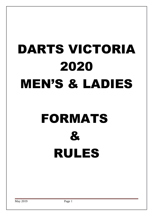# DARTS VICTORIA 2020 MEN'S & LADIES

# FORMATS  $\mathbf{z}$ RULES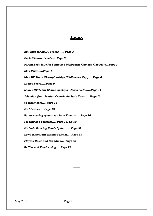# **Index**

- *Bull Rule for all DV events…… Page 3*
- *Darts Victoria Events…..Page 3*
- *Parent Body Rule for Fours and Melbourne Cup and Oak Plate…Page 3*
- *Men Fours…..Page 4*
- *Men DV Team Championships (Melbourne Cup)…..Page 6*
- *Ladies Fours…..Page 9*
- *Ladies DV Team Championships (Oakes Plate)…..Page 11*
- *Selection Qualifcation Criteria for State Team..…Page 13*
- *Tournaments…..Page 14*
- *DV Masters…..Page 15*
- *Points scoring system for State Tryouts…..Page 16*
- *Seeding and Formats…..Page 17/18/19*
- *DV State Ranking Points System…..Page20*
- *Lows & medium playing Format…..Page 21*
- *Playing Rules and Penalties…..Page 22*
- *Raffles and Fundraising…..Page 23*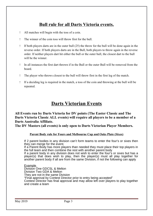# **Bull rule for all Darts Victoria events.**

- All matches will begin with the toss of a coin.
- The winner of the coin toss will throw first for the bull.
- If both players darts are in the outer bull  $(25)$  the throw for the bull will be done again in the reverse order. If both players darts are in the Bull, both players to throw again in the reverse order. If neither players dart hit either the bull or the outer bull, the closest dart to the bull will be the winner.
- In all instances the first dart thrown if in the Bull or the outer Bull will be removed from the board.
- The player who throws closest to the bull will throw first in the first leg of the match.
- If a deciding leg is required in the match, a toss of the coin and throwing at the bull will be repeated.

# **Darts Victorian Events**

**All Events run by Darts Victoria for DV points (The Easter Classic and The Darts Victoria Classic ALL events) will require all players to be a member of a Darts Australia Affiliate.** 

**The DV Masters (all events) is only open to Darts Victorian Player Members.**

#### **Parent Body rule for Fours and Melbourne Cup and Oaks Plate (Sixes)**

If 2 parent bodies in any division can't form teams to enter the four's or sixes then they can merge for the event.

If a Parent Body has more players than needed they must place their top players in the full team and then combine the rest with another parent body

If a parent body in any division does not wish to enter the four's or sixes but has a player(s) that does wish to play, then the player(s) must all play together for another parent body if all are from the same Division, if not the following can apply

#### Example

Division One GDCSL & Melton Division Two GDA & Melton They are not in the same Division "Final approval by Contest Director prior to entry being accepted" Contest Director has final approval and may allow left over players to play together and create a team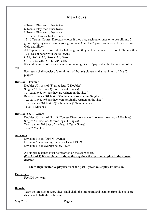## **Men Fours**

4 Teams: Play each other twice

6 Teams: Play each other twice

8 Teams: Play each other once

10 Teams: Play each other once

12-16 Teams: Contest Directors choice if they play each other once or to be split into 2 groups (playing each team in your group once) and the 2 group winners will play off for Gold and Silver.

All Captains shall draw out of a hat the group they will be put in etc if 11 or 12 Teams, then 12 pieces of paper with the following

GA1, GA2, GA3, GA4, GA5, GA6

GB1, GB2, GB3, GB4, GB5, GB6

If an odd number of entries then the remaining piece of paper shall be the location of the

#### bye

Each team shall consist of a minimum of four (4) players and a maximum of five (5) players.

#### **Division 1 Format**

Doubles 501 best of (3) three legs (2 Doubles) Singles 501 best of (3) three legs (4 Singles)  $1v1, 2v2, 3v3, 4v4$  (as they are written on the sheet) Reverse Singles 501 best of (3) three legs (4 Reverse Singles) 1v2, 2v1, 3v4, 4v3 (as they were originally written on the sheet) Team games 501 best of (3) three legs (1 Team Game) Total 11 Matches

#### **Division 2 & 3 Format**

Doubles 501 best of (1 or 3 (Contest Directors decision)) one or three legs (2 Doubles) Singles 501 best of (3) three legs (4 Singles) Team games 501 best of one leg. (1 Team Game) Total 7 Matches

#### **Averages**

Division 1 is an "OPEN" average Division 2 is an average between 15 and 19.99 Division 3 is an average below 14.99

All singles matches must be recorded on the score sheet. **(Div 2 and 3) If any player is above the avg then the team must play in the above division**

#### **State Representative players from the past 3 years must play 1st division**

#### **Entry Fee**

Fee \$50 per team

#### **Boards.**

 Team on left side of score sheet shall chalk the left board and team on right side of score sheet shall chalk the right board

May 2019 Page 4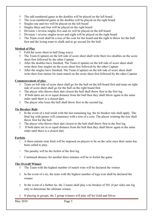- The odd numbered game in the doubles will be played on the left board
- The even numbered game in the doubles will be played on the right board
- Singles one and two will be played on the left board
- Singles three and four will be played on the right board
- Division 1 reverse singles five and six will be played on the left board
- Division 1 reverse singles seven and eight will be played on the right board
- The Team event shall be a toss of the coin for the board and the right to throw for the bull first and the losing team to chalk and to go second for the bull.

#### **Method of Play**

- Fold the score sheet in half (long ways)
- The Team (Captain) on the left side of score sheet shall write their two doubles on the score sheet first followed by the other Captain
- After the doubles have finished, The Team (Captain) on the left side of score sheet shall write their four singles on the score sheet first followed by the other Captain
- After the singles have finished, The Team (Captain) on the left side of score sheet shall write their four names for team match on the score sheet first followed by the other Captain

#### **Commencement of play**

- Team on left side of score sheet shall go for the bull on the left board first and team on right side of score sheet shall go for the bull on the right board first
- The player who throws their dart closest the bull shall throw first in the first leg.
- If both darts are in or equal distance from the bull then they shall throw again in the same order until there is a closest dart.
- The player who loses the bull shall throw first in the second leg.

#### **Tie Breaker Rule**

- In the event of a tied result with the last remaining leg, the tie breaker rule shall apply. The final leg with games will commence with a toss of a coin. The player winning the toss shall throw first for the bull.
- The player who throws their dart closest to the bull shall throw first in the first leg.
- If both darts are in or equal distance from the bull then they shall throw again in the same order until there is a closest dart.

#### **Forfeits**

- A three-minute time limit will be imposed on players to be on the oche once their name has been called to play.
- The penalty will be the forfeit of the first leg
- Continued absence for another three minutes will be to forfeit the game

#### **The Overall Winner**

- The Team with the highest number of match wins will be declared the winner
- In the event of a tie, the team with the highest number of legs won shall be declared the winner
- In the event of a further tie, the 2 teams shall play a tie breaker of 501 (4 per side) one leg only to determine the ultimate winner.
- If playing in groups, the 2 group winners will play off for Gold and Silver.

May 2019 Page 5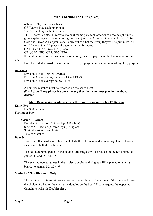## **Men's Melbourne Cup (Sixes)**

4 Teams: Play each other twice 6-8 Teams: Play each other once 10- Teams: Play each other once 11-16 Teams: Contest Directors choice if teams play each other once or to be split into 2 groups (playing each team in your group once) and the 2 group winners will play off for Gold and Silver. All Captains shall draw out of a hat the group they will be put in etc if 11 or 12 Teams, then 12 pieces of paper with the following GA1, GA2, GA3, GA4, GA5, GA6 GB1, GB2, GB3, GB4, GB5, GB6 If an odd number of entries then the remaining piece of paper shall be the location of the

#### bye

Each team shall consist of a minimum of six (6) players and a maximum of eight (8) players

#### **Averages**

Division 1 is an "OPEN" average Division 2 is an average between 15 and 19.99 Division 3 is an average below 14.99

All singles matches must be recorded on the score sheet. **(Div 2 & 3) If any player is above the avg then the team must play in the above division**

#### **State Representative players from the past 3 years must play 1st division**

#### **Entry Fee**

Fee \$80 per team

#### **Format of Play**

#### **Division 1 Format**

Doubles 501 best of (3) three leg (3 Doubles) Singles 501 best of (3) three legs (6 Singles) Straight start and double finish Total 9 Matches

#### **Boards**

- Team on left side of score sheet shall chalk the left board and team on right side of score sheet shall chalk the right board
- The odd numbered games in the doubles and singles will be played on the left board, i.e. games D1 and D3, S1,3, 5
- The even numbered games in the triples, doubles and singles will be played on the right board, i.e. games D2, S2,4, 6

#### **Method of Play Division 1 Only**

 The two team captains will toss a coin on the left board. The winner of the toss shall have the choice of whether they write the doubles on the board first or request the opposing Captain to write his Doubles first.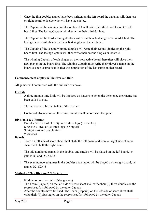- Once the first doubles names have been written on the left board the captains will then toss on right board to decide who will have the choice.
- The Captain of the winning doubles on board 1 will write their third doubles on the left board first. The losing Captain will then write their third doubles.
- The Captain of the third winning doubles will write their first singles on board 1 first. The losing Captain will then write their first singles on the left board.
- The Captain of the second winning doubles will write their second singles on the right board first. The losing Captain will then write their second singles on board 2.
- The winning Captain of each singles on their respective board thereafter will place their next player on the board first. The winning Captain must write their player's name on the board as soon as practicable after the completion of the last game on that board.

#### **Commencement of play & Tie Breaker Rule**

All games will commence with the bull rule as above.

#### **Forfeits**

- A three-minute time limit will be imposed on players to be on the oche once their name has been called to play.
- The penalty will be the forfeit of the first leg
- Continued absence for another three minutes will be to forfeit the game.

#### **Division 2 & 3 Format**

Doubles 501 best of (1 or 3) one or three legs (3 Doubles) Singles 501 best of (3) three legs (6 Singles) Straight start and double finish 9 Matches

#### **Boards**

- Team on left side of score sheet shall chalk the left board and team on right side of score sheet shall chalk the right board
- The odd numbered games in the doubles and singles will be played on the left board, i.e. games D1 and D3, S1,3,5
- The even numbered games in the doubles and singles will be played on the right board, i.e. games D2, S2,4,6

## **Method of Play Division 2 & 3 Only**

- Fold the score sheet in half (long ways)
- The Team (Captain) on the left side of score sheet shall write their (3) three doubles on the score sheet first followed by the other Captain
- After the doubles have finished. The Team (Captain) on the left side of score sheet shall write their (6) six singles on the score sheet first followed by the other Captain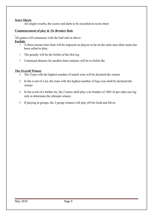#### **Score Sheets**

All singles results, the scores and darts to be recorded on score sheet

#### **Commencement of play & Tie Breaker Rule**

All games will commence with the bull rule as above. **Forfeits**

- A three-minute time limit will be imposed on players to be on the oche once their name has been called to play.
- The penalty will be the forfeit of the first leg
- Continued absence for another three minutes will be to forfeit the

#### **The Overall Winner**

- The Team with the highest number of match wins will be declared the winner
- In the event of a tie, the team with the highest number of legs won shall be declared the winner
- In the event of a further tie, the 2 teams shall play a tie breaker of 1001 (6 per side) one leg only to determine the ultimate winner.
- If playing in groups, the 2 group winners will play off for Gold and Silver.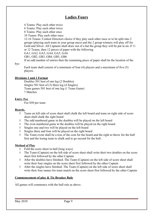# **Ladies Fours**

4 Teams: Play each other twice

6 Teams: Play each other twice

8 Teams: Play each other once

10 Teams: Play each other once

12-16 Teams: Contest Directors choice if they play each other once or to be split into 2 groups (playing each team in your group once) and the 2 group winners will play off for Gold and Silver. All Captains shall draw out of a hat the group they will be put in etc if 11 or 12 Teams, then 12 pieces of paper with the following

GA1, GA2, GA3, GA4, GA5, GA6

GB1, GB2, GB3, GB4, GB5, GB6

If an odd number of entries then the remaining piece of paper shall be the location of the

bye

Each team shall consist of a minimum of four (4) players and a maximum of five (5) players.

#### **Divisions 1 and 2 Format**

Doubles 501 best of one leg (2 Doubles) Singles 501 best of (3) three leg (4 Singles) Team games 501 best of one leg (1 Team Game) 7 Matches

#### **Entry Fee**

Fee \$50 per team

#### **Boards.**

- Team on left side of score sheet shall chalk the left board and team on right side of score sheet shall chalk the right board
- The odd numbered game in the doubles will be played on the left board
- The even numbered game in the doubles will be played on the right board
- Singles one and two will be played on the left board
- Singles three and four will be played on the right board
- The Team event shall be a toss of the coin for the board and the right to throw for the bull first and the losing team to chalk and to go second for the bull.

#### **Method of Play**

- Fold the score sheet in half (long ways)
- The Team (Captain) on the left side of score sheet shall write their two doubles on the score sheet first followed by the other Captain
- After the doubles have finished. The Team (Captain) on the left side of score sheet shall write their four singles on the score sheet first followed by the other Captain
- After the singles have finished. The Team (Captain) on the left side of score sheet shall write their four names for team match on the score sheet first followed by the other Captain

#### **Commencement of play & Tie Breaker Rule**

All games will commence with the bull rule as above.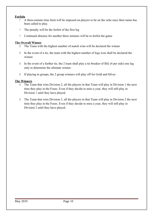#### **Forfeits**

- A three-minute time limit will be imposed on players to be on the oche once their name has been called to play.
- The penalty will be the forfeit of the first leg
- Continued absence for another three minutes will be to forfeit the game

#### **The Overall Winner**

- The Team with the highest number of match wins will be declared the winner
- In the event of a tie, the team with the highest number of legs won shall be declared the winner
- In the event of a further tie, the 2 team shall play a tie breaker of 501 (4 per side) one leg only to determine the ultimate winner.
- If playing in groups, the 2 group winners will play off for Gold and Silver.

#### **The Winners**

- The Team that wins Division 2, all the players in that Team will play in Division 1 the next time they play in the Fours. Even if they decide to miss a year, they will still play in Division 1 until they have played.
- The Team that wins Division 3, all the players in that Team will play in Division 2 the next time they play in the Fours. Even if they decide to miss a year, they will still play in Division 2 until they have played.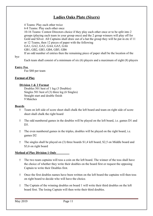# **Ladies Oaks Plate (Sixers)**

4 Teams: Play each other twice

6-8 Teams: Play each other once

10-16 Teams: Contest Directors choice if they play each other once or to be split into 2 groups (playing each team in your group once) and the 2 group winners will play off for Gold and Silver. All Captains shall draw out of a hat the group they will be put in etc if 11 or 12 Teams, then 12 pieces of paper with the following GA1, GA2, GA3, GA4, GA5, GA6 GB1, GB2, GB3, GB4, GB5, GB6

If an odd number of entries then the remaining piece of paper shall be the location of the

bye

Each team shall consist of a minimum of six (6) players and a maximum of eight (8) players

#### **Entry Fee**

Fee \$80 per team

#### **Format of Play**

#### **Division 1 & 2 Format**

Doubles 501 best of 1 leg (3 Doubles) Singles 501 best of (3) three leg (6 Singles) Straight start and double finish 9 Matches

#### **Boards**

- Team on left side of score sheet shall chalk the left board and team on right side of score sheet shall chalk the right board
- The odd numbered games in the doubles will be played on the left board, i.e. games D1 and D<sub>3</sub>
- The even numbered games in the triples, doubles will be played on the right board, i.e. games D2
- The singles shall be played on (3) three boards S1,4 left board, S2,5 on Middle board and S3,6 on right board

#### **Method of Play Division 1 Only**

- The two team captains will toss a coin on the left board. The winner of the toss shall have the choice of whether they write their doubles on the board first or request the opposing Captain to write their Doubles first.
- Once the first doubles names have been written on the left board the captains will then toss on right board to decide who will have the choice.
- The Captain of the winning doubles on board 1 will write their third doubles on the left board first. The losing Captain will then write their third doubles.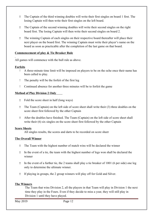- The Captain of the third winning doubles will write their first singles on board 1 first. The losing Captain will then write their first singles on the left board.
- The Captain of the second winning doubles will write their second singles on the right board first. The losing Captain will then write their second singles on board 2.
- The winning Captain of each singles on their respective board thereafter will place their next player on the board first. The winning Captain must write their player's name on the board as soon as practicable after the completion of the last game on that board.

#### **Commencement of play & Tie Breaker Rule**

All games will commence with the bull rule as above.

#### **Forfeits**

- A three-minute time limit will be imposed on players to be on the oche once their name has been called to play.
- The penalty will be the forfeit of the first leg
- Continued absence for another three minutes will be to forfeit the game

#### **Method of Play Division 2 Only**

- Fold the score sheet in half (long ways)
- The Team (Captain) on the left side of score sheet shall write their (3) three doubles on the score sheet first followed by the other Captain
- After the doubles have finished. The Team (Captain) on the left side of score sheet shall write their (6) six singles on the score sheet first followed by the other Captain

#### **Score Sheets**

All singles results, the scores and darts to be recorded on score sheet

#### **The Overall Winner**

- The Team with the highest number of match wins will be declared the winner
- In the event of a tie, the team with the highest number of legs won shall be declared the winner
- In the event of a further tie, the 2 teams shall play a tie breaker of 1001 (6 per side) one leg only to determine the ultimate winner.
- If playing in groups, the 2 group winners will play off for Gold and Silver.

#### **The Winners**

The Team that wins Division 2, all the players in that Team will play in Division 1 the next time they play in the Fours. Even if they decide to miss a year, they will still play in Division 1 until they have played.

May 2019 **Page 12**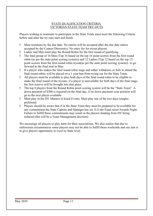#### STATE QUALIFICATION CRITERIA VICTORIAN STATE TEAM TRY-OUTS

Players wishing to nominate to participate in the State Trials must meet the following Criteria before and after the try outs start and finish.

- Must nominate by the due date. No entries will be accepted after the due date unless accepted by the Contest Director(s). No entry fee for tryout players.
- Ladies and Men must play the Round Robin for the first round of qualifying.
- The final group of 16 Men (Top 16 based on the top 16 point scorers from the first round robin (as per the state point scoring system)) and 12 Ladies (Top 12 based on the top 12 point scorers from the first-round robin tryout(as per the state point scoring system)) to go forward to the final trial in May.
- If a player who makes the final round robin stage and either withdraws or fails to attend the final round robin; will be placed on a 1 year ban from trying out for the State Team.
- All players must be available to play both days of the final round robin to be eligible to make the final round of the tryouts, if a player is unavailable for both days of the final stage, the first reserve will be brought into that place.
- The top 8 players from the Round Robin point scoring system will be the "State Team". A down payment of \$300 is required on the final day, if no down payment your position will go to the next player available.
- Must play in the DV Masters (Closed Event). Must play one of the two days (singles preferred)
- Players should be aware that if in the State Team they must be prepared to be available for any commitment the State Captain and Manager has set. E.G the Fund raiser/Awards Night. Failure to fulfill these commitments may result in the players funding from DV being reduced (this will be a Team Management decision)

We encourage all players to play darts for their associations. We also realize that due to unforeseen circumstances some players may not be able to fulfill those weekends and our aim is to give players opportunity to excel to State level.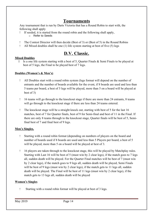## **Tournaments**

Any tournament that is run by Darts Victoria that has a Round Robin to start with, the following shall apply

- If seeded, it is started from the round robin and the following shall apply, o Refer to Seeds
- The Contest Director will then decide (Best of 3) or (Best of 5) in the Round Robins
- All Mixed doubles shall be one (1) life system starting at best of five (5) legs

# **D.V. Classic.**

#### **Mixed Doubles**

 Is a one life system starting with a best of 5, Quarter Finals & Semi Finals to be played at best of 5 legs, the Final to be played best of 7 legs.

#### **Doubles (Women's & Men's)**

- All Doubles start with a round robin system (legs format will depend on the number of entrants and the number of boards available for the event, if 8 boards are used and less than 5 teams per board, a best of 5 legs will be played, more than 5 on a board will be played at best of 3)
- 16 teams will go through to the knockout stage if there are more than 24 entrants, 8 teams will go through to the knockout stage if there are less than 24 teams entered.
- The knockout stage will be a straight knock out, starting with best of 5 for the last 16 matches, best of 7 for Quarter finals, best of 9 for Semi-final and best of 11 in the Final. If there are only 8 teams through to the knockout stage, Quarter finals will be best of 5, Semifinal best of 7 and final best of 9 legs.

#### **Men's Singles.**

- Starting with a round robin format (depending on numbers of players on the board and number of boards used if 8 boards are used and less than 5 Players per board, a best of 5 will be played, more than 5 on a board will be played at best of 3.
- 16 players are taken through to the knockout stage, this will be played by Matchplay rules. Starting with Last 16 will be best of 5 (must win by 2 clear legs), if the match goes to 7 legs all, sudden death will be played. For the Quarter Final matches will be best of 7 (must win by 2 clear legs), if the match goes to 9 legs all, sudden death will be played, Semi Finals will be best of 9 legs (must win by 2 clear legs), if the match gets to 11 legs all, sudden death will be played. The Final will be best of 11 legs (must win by 2 clear legs), if the match gets to 13 legs all, sudden death will be played

#### **Women's Singles**

Starting with a round robin format will be played at best of 3 legs.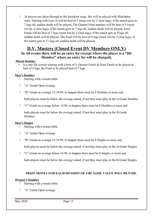16 players are taken through to the knockout stage, this will be played with Matchplay rules. Starting with Last 16 will be best of 5 (must win by 2 clear legs), if the match goes to 7 legs all, sudden death will be played. The Quarter Final matches will be best of 5 (must win by 2 clear legs), if the match goes to 7 legs all, sudden death will be played, Semi Finals will be best of 7 legs (must win by 2 clear legs), if the match gets to 9 legs all, sudden death will be played. The Final will be best of 9 legs (must win by 2 clear legs), if the match gets to 11 legs all, sudden death will be played.

# **D.V. Masters (Closed Event DV Members ONLY)**

#### **In All events there will be an entry fee (except where the player is a "life Member" where no entry fee will be charged).**

#### **Mixed Doubles**

Is a one life system starting with a best of 5, Quarter Finals  $\&$  Semi Finals to be played at best of 5 legs, the Final to be played best of 7 legs.

#### **Men's Doubles**

- Starting with a round robin
- "A" Grade Open average
- "B" Grade an average 15-19.99, to happen there must be 8 Doubles or more and

both players must be below the average stated, if not they must play in the A Grade Doubles

"C" Grade an average below 14.99, to happen there must be 8 Doubles or more and

both players must be below the average stated, if not they must play in the B Grade Doubles.

#### **Men's Singles**

- Starting with a round robin
- "A" Grade Open average
- "B" Grade an average 15-19.99, to happen there must be 8 Singles or more and both players must be below the average stated, if not they must play in the A Grade Singles
- "C" Grade an average below 14.99, to happen there must be 8 Singles or more and
	- both players must be below the average stated, if not they must play in the B Grade Singles

#### **PRIZE MONEY FOR EACH DIVISION OF THE SAME VALUE WILL BE PAID.**

#### **Women's Doubles**

- Starting with a round robin
- "A" Grade Open average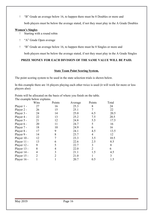"B" Grade an average below 16, to happen there must be 8 Doubles or more and

both players must be below the average stated, if not they must play in the A Grade Doubles

#### **Women's Singles**

- Starting with a round robin
- "A" Grade Open average
- "B" Grade an average below 16, to happen there must be 8 Singles or more and

both players must be below the average stated, if not they must play in the A Grade Singles

#### **PRIZE MONEY FOR EACH DIVISION OF THE SAME VALUE WILL BE PAID.**

#### **State Team Point Scoring System.**

The point scoring system to be used in the state selection trials is shown below.

In this example there are 16 players playing each other twice is used (it will work for more or less players also)

Points will be allocated on the basis of where you finish on the table. The example below explains.

|             | Wins           | Points         | Average | Points         | Total |
|-------------|----------------|----------------|---------|----------------|-------|
| Player 1 -  | 27             | 16             | 25.3    | 8              | 24    |
| Player 2 -  | 26             | 15             | 25.1    | 7              | 22    |
| Player 3 -  | 24             | 14             | 25.0    | 6.5            | 20.5  |
| Player 4 -  | 22             | 13             | 25.2    | 7.5            | 20.5  |
| Player 5 -  | 21             | 12             | 24.8    | 5.5            | 17.5  |
| Player 6 -  | 20             | 11             | 24.7    | 5              | 16    |
| Player 7 -  | 18             | 10             | 24.9    | 6              | 16    |
| Player 8 -  | 17             | 9              | 24.1    | 4.5            | 13.5  |
| Player 9 -  | 14             | 8              | 23.7    | 4              | 12    |
| Player 10 - | 12             | 7              | 23.3    | 3.5            | 10.5  |
| Player 11 - | 13             | 6              | 22.6    | 2.5            | 8.5   |
| Player 12 - | 9              | 5              | 22.7    | 3              | 8     |
| Player 13 - | 8              | 4              | 22.0    | $\overline{2}$ | 6     |
| Player 14 - | $\overline{4}$ | 3              | 21.1    | 1.5            | 4.5   |
| Player 15 - | $\overline{2}$ | $\overline{2}$ | 21.0    |                | 3     |
| Player 16 - |                |                | 20.7    | 0.5            | 1.5   |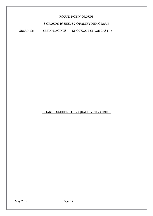#### ROUND ROBIN GROUPS

#### **8 GROUPS 16 SEEDS 2 QUALIFY PER GROUP**

GROUP No. SEED PLACINGS KNOCKOUT STAGE LAST 16

#### **BOARDS 8 SEEDS TOP 2 QUALIFY PER GROUP**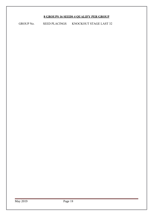## **8 GROUPS 16 SEEDS 4 QUALIFY PER GROUP**

GROUP No. SEED PLACINGS KNOCKOUT STAGE LAST 32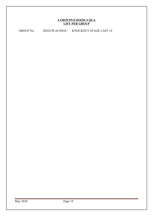#### **4 GROUPS 8 SEEDS 4 QUA LIFY PER GROUP**

GROUP No. SEED PLACINGS KNOCKOUT STAGE LAST 16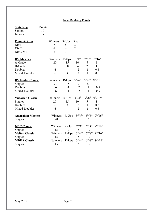## **New Ranking Points**

| <b>State Rep</b>          | <b>Points</b> |         |                |                                  |                                  |                                   |
|---------------------------|---------------|---------|----------------|----------------------------------|----------------------------------|-----------------------------------|
| Seniors                   | 10            |         |                |                                  |                                  |                                   |
| Juniors                   | 5             |         |                |                                  |                                  |                                   |
| <b>Fours &amp; Sixes</b>  |               | Winners | $R$ -Ups       | Rep                              |                                  |                                   |
| Div1                      |               | 7       | 5              | 3                                |                                  |                                   |
| Div <sub>2</sub>          |               | 6       | 4              | $\overline{2}$                   |                                  |                                   |
| Div 3 & 4                 |               | 5       | 3              | $\mathbf{1}$                     |                                  |                                   |
| <b>DV Masters</b>         |               | Winners | R-Ups          | 3 <sup>rd</sup> /4 <sup>th</sup> | 5 <sup>th</sup> /8 <sup>th</sup> | $9^{th}/16^{th}$                  |
| A-Grade                   |               | 20      | 15             | 10                               | 5                                | $\mathbf{1}$                      |
| <b>B-Grade</b>            |               | 10      | 8              | $\overline{4}$                   | $\overline{2}$                   | $\mathbf{1}$                      |
| Doubles                   |               | 6       | $\overline{4}$ | $\overline{c}$                   | $\mathbf{1}$                     | 0.5                               |
| <b>Mixed Doubles</b>      |               | 6       | $\overline{4}$ | $\overline{2}$                   | $\mathbf{1}$                     | 0.5                               |
| <b>DV Easter Classic</b>  |               | Winners | $R$ -Ups       | $3^{\text{rd}}/4^{\text{th}}$    | 5 <sup>th</sup> /8 <sup>th</sup> | $9^{th}/16^{th}$                  |
| Singles                   |               | 20      | 15             | 10                               | 5                                | $\mathbf{1}$                      |
| Doubles                   |               | 6       | $\overline{4}$ | $\overline{2}$                   | $\mathbf{1}$                     | 0.5                               |
| <b>Mixed Doubles</b>      |               | 6       | $\overline{4}$ | $\overline{2}$                   | $\mathbf{1}$                     | 0.5                               |
| <b>Victorian Classic</b>  |               | Winners | $R$ -Ups       | $3^{\text{rd}}/4^{\text{th}}$    | 5 <sup>th</sup> /8 <sup>th</sup> | $9^{th}/16^{th}$                  |
| Singles                   |               | 20      | 15             | 10                               | 5                                | $\mathbf{1}$                      |
| Doubles                   |               | 6       | $\overline{4}$ | $\overline{2}$                   | $\mathbf{1}$                     | 0.5                               |
| <b>Mixed Doubles</b>      |               | 6       | $\overline{4}$ | $\overline{2}$                   | $\mathbf{1}$                     | 0.5                               |
| <b>Australian Masters</b> |               | Winners | R-Ups          | $3^{\text{rd}}/4^{\text{th}}$    | 5 <sup>th</sup> /8 <sup>th</sup> | 9 <sup>th</sup> /16 <sup>th</sup> |
| Singles                   |               | 20      | 15             | 10                               | 5                                | $\mathbf{1}$                      |
| <b>GDC Classic</b>        |               | Winners | $R$ -Ups       | 3 <sup>rd</sup> /4 <sup>th</sup> | 5 <sup>th</sup> /8 <sup>th</sup> | $9^{th}/16^{th}$                  |
| Singles                   |               | 15      | 10             | 5                                | $\overline{2}$                   | 1                                 |
| <b>Melton Classic</b>     |               | Winners | R-Ups          | $3^{\text{rd}}/4^{\text{th}}$    | 5 <sup>th</sup> /8 <sup>th</sup> | 9 <sup>th</sup> /16 <sup>th</sup> |
| Singles                   |               | 15      | 10             | 5                                | $\overline{2}$                   | 1                                 |
| <b>MDDA Classic</b>       |               | Winners | $R$ -Ups       | $3^{\text{rd}}/4^{\text{th}}$    | 5 <sup>th</sup> /8 <sup>th</sup> | $9^{th}/16^{th}$                  |
| Singles                   |               | 15      | 10             | 5                                | $\overline{2}$                   | $\mathbf{1}$                      |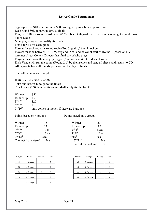#### **Lower Grade Tournament**

Sign-up fee of \$10, each venue a \$50 hosting fee plus 2 break opens to sell Each round 80% to payout 20% to finals Entry fee \$10 per round, must be a DV Member. Both grades are mixed unless we get a good turnout of Ladies Must play 4 rounds to qualify for finals Finals top 16 for each grade Format for each round is round robin (Top 3 qualify) then knockout Players must be between 16-19.99 avg and 15.99 and below at start of Round 1 (based on DV rankings Avg), Contest Director has final say of who plays. Players must prove their avg by league (3 score sheets) if CD doesn't know. Each Venue will run the comp (Round 2-6) by themselves and send all sheets and results to CD All pay-outs from all rounds given out on the day of finals

The following is an example

If 20 entered at \$10 ea.=\$200 Take out 20%=\$40 to go to the finals This leaves \$160 then the following shall apply for the last 8

| Winner                        | \$50                                      |
|-------------------------------|-------------------------------------------|
| Runner up                     | \$30                                      |
| $3^{\text{rd}}/4^{\text{th}}$ | \$20                                      |
| $5^{th}/8^{th}$               | \$10                                      |
| $9^{th}/16^{th}$              | only comes in money if there are 8 groups |

Points based on 4 groups Points based on 8 groups

| Winner                           | 15   | Winner                           | 20   |
|----------------------------------|------|----------------------------------|------|
| Runner up                        | 13   | Runner up                        | 17   |
| 3 <sup>rd</sup> /4 <sup>th</sup> | 10ea | $3^{\text{rd}}/4^{\text{th}}$    | 13ea |
| 5 <sup>th</sup> /8 <sup>th</sup> | 7 ea | 5 <sup>th</sup> /8 <sup>th</sup> | 10ea |
| $9^{th}/12^{th}$                 | 5ea  | $9^{th}/16^{th}$                 | 7ea  |
| The rest that entered            | 2ea  | $17^{th}/24^{th}$                | 5ea  |
|                                  |      | The rest that entered            | 3ea  |

| Players | Groups   | <b>Boards</b>  | Total | Players | Groups   | <b>Boards</b>  | Total |
|---------|----------|----------------|-------|---------|----------|----------------|-------|
|         |          |                |       |         |          |                |       |
| 16      | 4 Groups |                | 4     | 36      | 8 Groups |                | 8     |
|         |          |                |       |         |          |                |       |
| 20      | 4 Groups |                | 4     | 40      | 8 Groups |                | 8     |
|         |          |                |       |         |          |                |       |
| 24      | 4 Groups | $\overline{2}$ | 8     | 44      | 8 Groups | 2              | 16    |
|         |          |                |       |         |          |                |       |
| 28      | 4 Groups | $\overline{2}$ | 8     | 48      | 8 Groups | $\overline{2}$ | 16    |
|         |          |                |       |         |          |                |       |
| 32      | 8 Groups |                | 8     |         |          |                |       |

| Players | Groups   | <b>Boards</b> | Total |
|---------|----------|---------------|-------|
|         |          |               |       |
| 36      | 8 Groups |               |       |
| 40      | 8 Groups |               |       |
| 44      | 8 Groups | 2             | 16    |
| 48      | 8 Groups |               | 16    |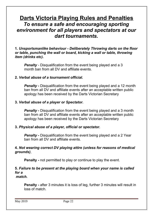# **Darts Victoria Playing Rules and Penalties** *To ensure a safe and encouraging sporting environment for all players and spectators at our dart tournaments.*

**1.** *Unsportsmanlike behaviour - Deliberately Throwing darts on the floor or table, punching the wall or board, kicking a wall or table, throwing item (drinks etc).*

*Penalty -* Disqualification from the event being played and a 3 month ban from all DV and affiliate events.

## **2.** *Verbal abuse of a tournament official.*

**Penalty -** Disqualification from the event being played and a 12 month ban from all DV and affiliate events after an acceptable written public apology has been received by the Darts Victorian Secretary

### **3.** *Verbal abuse of a player or Spectator.*

**Penalty -** Disqualification from the event being played and a 3 month ban from all DV and affiliate events after an acceptable written public apology has been received by the Darts Victorian Secretary

## **3.** *Physical abuse of a player, official or spectator.*

*Penalty -* Disqualification from the event being played and a 2 Year ban from all DV and affiliate events.

## **4.** *Not wearing correct DV playing attire (unless for reasons of medical grounds)*,

**Penalty -** not permitted to play or continue to play the event.

#### **5.** *Failure to be present at the playing board when your name is called for a match.*

**Penalty -** after 3 minutes it is loss of leg, further 3 minutes will result in loss of match.